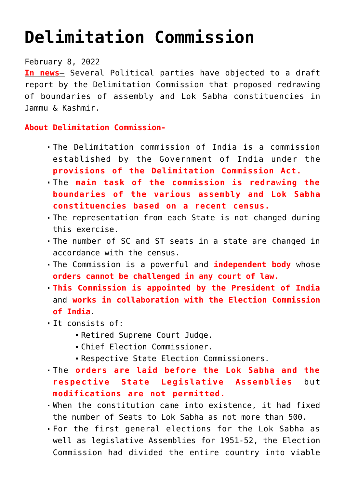## **[Delimitation Commission](https://journalsofindia.com/delimitation-commission/)**

## February 8, 2022

**In news**– Several Political parties have objected to a draft report by the Delimitation Commission that proposed redrawing of boundaries of assembly and Lok Sabha constituencies in Jammu & Kashmir.

**About Delimitation Commission-**

- The Delimitation commission of India is a commission established by the Government of India under the **provisions of the Delimitation Commission Act.**
- The **main task of the commission is redrawing the boundaries of the various assembly and Lok Sabha constituencies based on a recent census.**
- The representation from each State is not changed during this exercise.
- The number of SC and ST seats in a state are changed in accordance with the census.
- The Commission is a powerful and **independent body** whose **orders cannot be challenged in any court of law.**
- **This Commission is appointed by the President of India** and **works in collaboration with the Election Commission of India**.
- It consists of:
	- Retired Supreme Court Judge.
	- Chief Election Commissioner.
	- Respective State Election Commissioners.
- The **orders are laid before the Lok Sabha and the respective State Legislative Assemblies** but **modifications are not permitted.**
- When the constitution came into existence, it had fixed the number of Seats to Lok Sabha as not more than 500.
- For the first general elections for the Lok Sabha as well as legislative Assemblies for 1951-52, the Election Commission had divided the entire country into viable